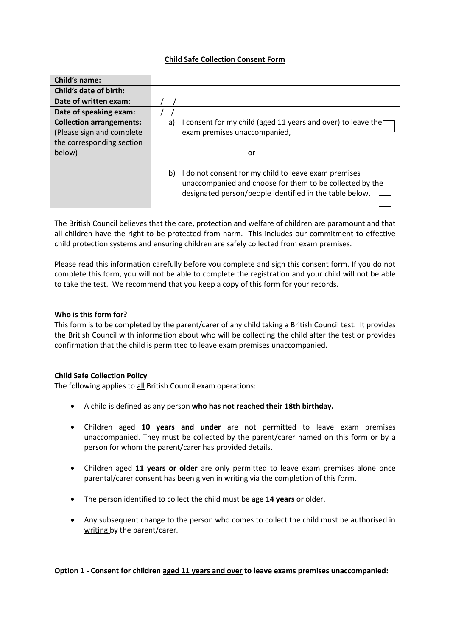## **Child Safe Collection Consent Form**

| Child's name:                                                                             |                                                                                                                                                                                   |
|-------------------------------------------------------------------------------------------|-----------------------------------------------------------------------------------------------------------------------------------------------------------------------------------|
| Child's date of birth:                                                                    |                                                                                                                                                                                   |
| Date of written exam:                                                                     |                                                                                                                                                                                   |
| Date of speaking exam:                                                                    |                                                                                                                                                                                   |
| <b>Collection arrangements:</b><br>(Please sign and complete<br>the corresponding section | I consent for my child (aged 11 years and over) to leave the<br>a)<br>exam premises unaccompanied,                                                                                |
| below)                                                                                    | or                                                                                                                                                                                |
|                                                                                           | I do not consent for my child to leave exam premises<br>b)<br>unaccompanied and choose for them to be collected by the<br>designated person/people identified in the table below. |

The British Council believes that the care, protection and welfare of children are paramount and that all children have the right to be protected from harm. This includes our commitment to effective child protection systems and ensuring children are safely collected from exam premises.

Please read this information carefully before you complete and sign this consent form. If you do not complete this form, you will not be able to complete the registration and your child will not be able to take the test. We recommend that you keep a copy of this form for your records.

## **Who is this form for?**

This form is to be completed by the parent/carer of any child taking a British Council test. It provides the British Council with information about who will be collecting the child after the test or provides confirmation that the child is permitted to leave exam premises unaccompanied.

# **Child Safe Collection Policy**

The following applies to all British Council exam operations:

- A child is defined as any person **who has not reached their 18th birthday.**
- Children aged **10 years and under** are not permitted to leave exam premises unaccompanied. They must be collected by the parent/carer named on this form or by a person for whom the parent/carer has provided details.
- Children aged **11 years or older** are only permitted to leave exam premises alone once parental/carer consent has been given in writing via the completion of this form.
- The person identified to collect the child must be age **14 years** or older.
- Any subsequent change to the person who comes to collect the child must be authorised in writing by the parent/carer.

**Option 1 - Consent for children aged 11 years and over to leave exams premises unaccompanied:**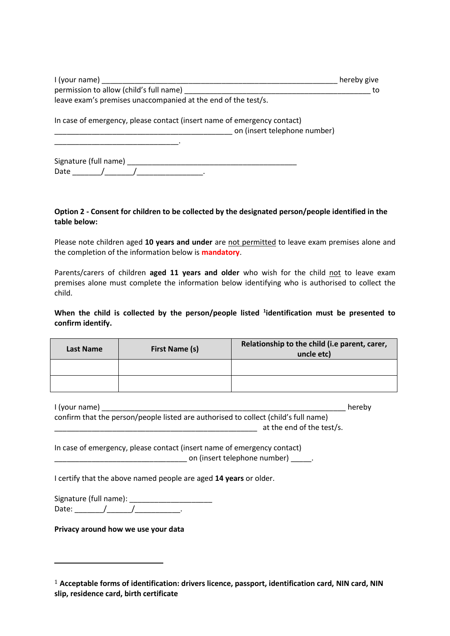| I (your name)                                                                                           | hereby give |  |
|---------------------------------------------------------------------------------------------------------|-------------|--|
| permission to allow (child's full name)                                                                 | to          |  |
| leave exam's premises unaccompanied at the end of the test/s.                                           |             |  |
| In case of emergency, please contact (insert name of emergency contact)<br>on (insert telephone number) |             |  |
|                                                                                                         |             |  |

Signature (full name) \_\_\_\_\_\_\_\_\_\_\_\_\_\_\_\_\_\_\_\_\_\_\_\_\_\_\_\_\_\_\_\_\_\_\_\_\_\_\_\_\_ Date \_\_\_\_\_\_\_/\_\_\_\_\_\_\_/\_\_\_\_\_\_\_\_\_\_\_\_\_\_\_\_.

## **Option 2 - Consent for children to be collected by the designated person/people identified in the table below:**

Please note children aged **10 years and under** are not permitted to leave exam premises alone and the completion of the information below is **mandatory**.

Parents/carers of children **aged 11 years and older** who wish for the child not to leave exam premises alone must complete the information below identifying who is authorised to collect the child.

## When the child is collected by the person/people listed <sup>1</sup>identification must be presented to **confirm identify.**

| Last Name | First Name (s) | Relationship to the child (i.e parent, carer,<br>uncle etc) |
|-----------|----------------|-------------------------------------------------------------|
|           |                |                                                             |
|           |                |                                                             |

I (your name) \_\_\_\_\_\_\_\_\_\_\_\_\_\_\_\_\_\_\_\_\_\_\_\_\_\_\_\_\_\_\_\_\_\_\_\_\_\_\_\_\_\_\_\_\_\_\_\_\_\_\_\_\_\_\_\_\_\_\_ hereby

confirm that the person/people listed are authorised to collect (child's full name) \_\_\_\_\_\_\_\_\_\_\_\_\_\_\_\_\_\_\_\_\_\_\_\_\_\_\_\_\_\_\_\_\_\_\_\_\_\_\_\_\_\_\_\_\_\_\_\_\_ at the end of the test/s.

In case of emergency, please contact (insert name of emergency contact) \_\_\_\_\_\_\_\_\_\_\_\_\_\_\_\_\_\_\_\_\_\_\_\_\_\_\_\_\_\_\_\_ on (insert telephone number) \_\_\_\_\_.

I certify that the above named people are aged **14 years** or older.

Signature (full name): \_\_\_\_\_\_\_\_\_\_\_\_\_\_\_\_\_\_\_\_ Date:  $\frac{1}{\sqrt{1-\frac{1}{\sqrt{1-\frac{1}{\sqrt{1-\frac{1}{\sqrt{1-\frac{1}{\sqrt{1-\frac{1}{\sqrt{1-\frac{1}{\sqrt{1-\frac{1}{\sqrt{1-\frac{1}{\sqrt{1-\frac{1}{\sqrt{1-\frac{1}{\sqrt{1-\frac{1}{\sqrt{1-\frac{1}{\sqrt{1-\frac{1}{\sqrt{1-\frac{1}{\sqrt{1-\frac{1}{\sqrt{1-\frac{1}{\sqrt{1-\frac{1}{\sqrt{1-\frac{1}{\sqrt{1-\frac{1}{\sqrt{1-\frac{1}{\sqrt{1-\frac{1}{\sqrt{1-\frac{1}{\sqrt{1-\frac{1}{\sqrt$ 

**Privacy around how we use your data**

<sup>1</sup> **Acceptable forms of identification: drivers licence, passport, identification card, NIN card, NIN slip, residence card, birth certificate**